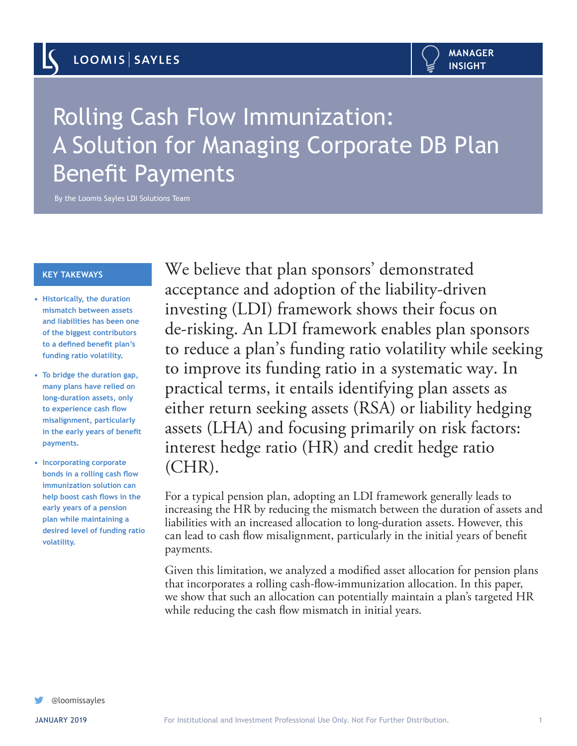

# Rolling Cash Flow Immunization: A Solution for Managing Corporate DB Plan Benefit Payments

By the Loomis Sayles LDI Solutions Team

#### **KEY TAKEWAYS**

- **• Historically, the duration mismatch between assets and liabilities has been one of the biggest contributors to a defined benefit plan's funding ratio volatility.**
- **• To bridge the duration gap, many plans have relied on long-duration assets, only to experience cash flow misalignment, particularly in the early years of benefit payments.**
- **• Incorporating corporate bonds in a rolling cash flow immunization solution can help boost cash flows in the early years of a pension plan while maintaining a desired level of funding ratio volatility.**

We believe that plan sponsors' demonstrated acceptance and adoption of the liability-driven investing (LDI) framework shows their focus on de-risking. An LDI framework enables plan sponsors to reduce a plan's funding ratio volatility while seeking to improve its funding ratio in a systematic way. In practical terms, it entails identifying plan assets as either return seeking assets (RSA) or liability hedging assets (LHA) and focusing primarily on risk factors: interest hedge ratio (HR) and credit hedge ratio (CHR).

For a typical pension plan, adopting an LDI framework generally leads to increasing the HR by reducing the mismatch between the duration of assets and liabilities with an increased allocation to long-duration assets. However, this can lead to cash flow misalignment, particularly in the initial years of benefit payments.

Given this limitation, we analyzed a modified asset allocation for pension plans that incorporates a rolling cash-flow-immunization allocation. In this paper, we show that such an allocation can potentially maintain a plan's targeted HR while reducing the cash flow mismatch in initial years.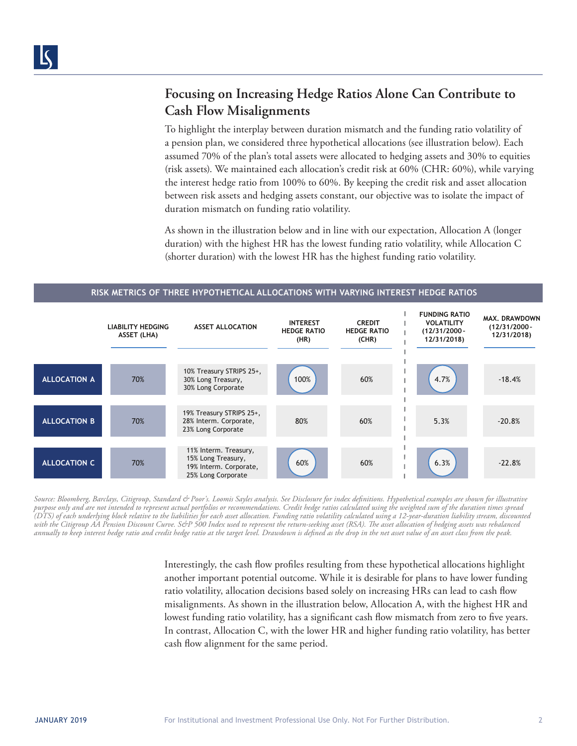## **Focusing on Increasing Hedge Ratios Alone Can Contribute to Cash Flow Misalignments**

To highlight the interplay between duration mismatch and the funding ratio volatility of a pension plan, we considered three hypothetical allocations (see illustration below). Each assumed 70% of the plan's total assets were allocated to hedging assets and 30% to equities (risk assets). We maintained each allocation's credit risk at 60% (CHR: 60%), while varying the interest hedge ratio from 100% to 60%. By keeping the credit risk and asset allocation between risk assets and hedging assets constant, our objective was to isolate the impact of duration mismatch on funding ratio volatility.

As shown in the illustration below and in line with our expectation, Allocation A (longer duration) with the highest HR has the lowest funding ratio volatility, while Allocation C (shorter duration) with the lowest HR has the highest funding ratio volatility.



**RISK METRICS OF THREE HYPOTHETICAL ALLOCATIONS WITH VARYING INTEREST HEDGE RATIOS**

*Source: Bloomberg, Barclays, Citigroup, Standard & Poor's. Loomis Sayles analysis. See Disclosure for index definitions. Hypothetical examples are shown for illustrative purpose only and are not intended to represent actual portfolios or recommendations. Credit hedge ratios calculated using the weighted sum of the duration times spread (DTS) of each underlying block relative to the liabilities for each asset allocation. Funding ratio volatility calculated using a 12-year-duration liability stream, discounted with the Citigroup AA Pension Discount Curve. S&P 500 Index used to represent the return-seeking asset (RSA). The asset allocation of hedging assets was rebalanced annually to keep interest hedge ratio and credit hedge ratio at the target level. Drawdown is defined as the drop in the net asset value of an asset class from the peak.* 

> Interestingly, the cash flow profiles resulting from these hypothetical allocations highlight another important potential outcome. While it is desirable for plans to have lower funding ratio volatility, allocation decisions based solely on increasing HRs can lead to cash flow misalignments. As shown in the illustration below, Allocation A, with the highest HR and lowest funding ratio volatility, has a significant cash flow mismatch from zero to five years. In contrast, Allocation C, with the lower HR and higher funding ratio volatility, has better cash flow alignment for the same period.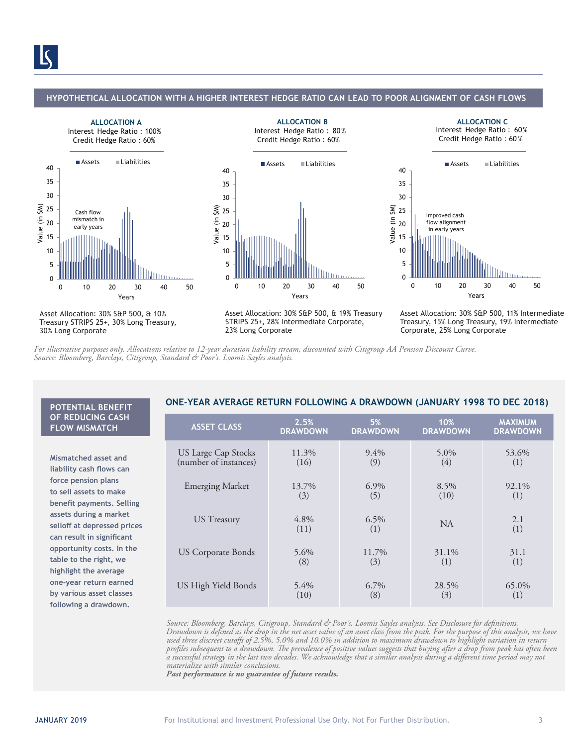#### **HYPOTHETICAL ALLOCATION WITH A HIGHER INTEREST HEDGE RATIO CAN LEAD TO POOR ALIGNMENT OF CASH FLOWS**

**ALLOCATION B**







**ALLOCATION C**



Asset Allocation: 30% S&P 500, & 10% Treasury STRIPS 25+, 30% Long Treasury, 30% Long Corporate

Asset Allocation: 30% S&P 500, & 19% Treasury STRIPS 25+, 28% Intermediate Corporate, 23% Long Corporate

Asset Allocation: 30% S&P 500, 11% Intermediate Treasury, 15% Long Treasury, 19% Intermediate Corporate, 25% Long Corporate

*For illustrative purposes only. Allocations relative to 12-year duration liability stream, discounted with Citigroup AA Pension Discount Curve. Source: Bloomberg, Barclays, Citigroup, Standard & Poor's. Loomis Sayles analysis.* 

### **OF REDUCING CASH FLOW MISMATCH**

**Mismatched asset and liability cash flows can force pension plans to sell assets to make benefit payments. Selling assets during a market selloff at depressed prices can result in significant opportunity costs. In the table to the right, we highlight the average one-year return earned by various asset classes following a drawdown.**

### **ONE-YEAR AVERAGE RETURN FOLLOWING A DRAWDOWN (JANUARY 1998 TO DEC 2018) POTENTIAL BENEFIT**

| <b>ASSET CLASS</b>         | 2.5%            | 5%              | 10%             | <b>MAXIMUM</b>  |
|----------------------------|-----------------|-----------------|-----------------|-----------------|
|                            | <b>DRAWDOWN</b> | <b>DRAWDOWN</b> | <b>DRAWDOWN</b> | <b>DRAWDOWN</b> |
| <b>US Large Cap Stocks</b> | 11.3%           | $9.4\%$         | 5.0%            | 53.6%           |
| (number of instances)      | (16)            | (9)             | (4)             | (1)             |
| <b>Emerging Market</b>     | 13.7%           | $6.9\%$         | 8.5%            | 92.1%           |
|                            | (3)             | (5)             | (10)            | (1)             |
| <b>US</b> Treasury         | $4.8\%$<br>(11) | 6.5%<br>(1)     | N <sub>A</sub>  | 2.1<br>(1)      |
| US Corporate Bonds         | $5.6\%$         | 11.7%           | 31.1%           | 31.1            |
|                            | (8)             | (3)             | (1)             | (1)             |
| US High Yield Bonds        | $5.4\%$         | $6.7\%$         | 28.5%           | 65.0%           |
|                            | (10)            | (8)             | (3)             | (1)             |

*Source: Bloomberg, Barclays, Citigroup, Standard & Poor's. Loomis Sayles analysis. See Disclosure for definitions. Drawdown is defined as the drop in the net asset value of an asset class from the peak. For the purpose of this analysis, we have used three discreet cutoffs of 2.5%, 5.0% and 10.0% in addition to maximum drawdown to highlight variation in return profiles subsequent to a drawdown. The prevalence of positive values suggests that buying after a drop from peak has often been a successful strategy in the last two decades. We acknowledge that a similar analysis during a different time period may not materialize with similar conclusions.*

*Past performance is no guarantee of future results.*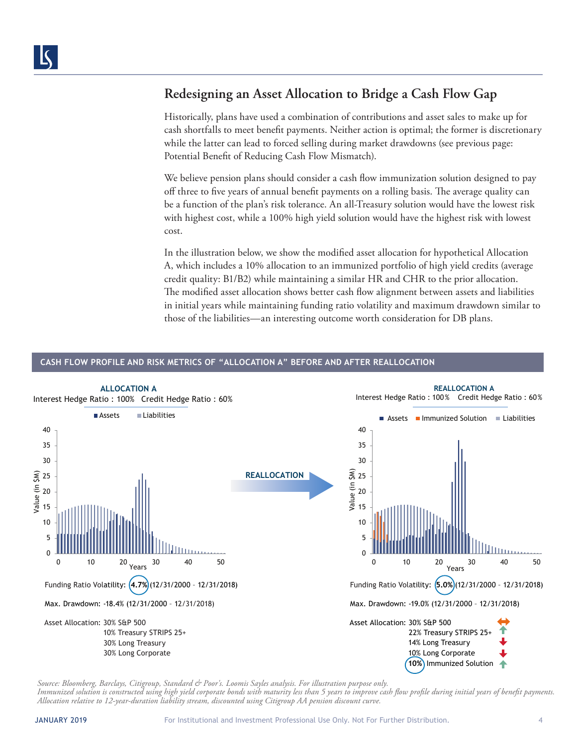### **Redesigning an Asset Allocation to Bridge a Cash Flow Gap**

Historically, plans have used a combination of contributions and asset sales to make up for cash shortfalls to meet benefit payments. Neither action is optimal; the former is discretionary while the latter can lead to forced selling during market drawdowns (see previous page: Potential Benefit of Reducing Cash Flow Mismatch).

We believe pension plans should consider a cash flow immunization solution designed to pay off three to five years of annual benefit payments on a rolling basis. The average quality can be a function of the plan's risk tolerance. An all-Treasury solution would have the lowest risk with highest cost, while a 100% high yield solution would have the highest risk with lowest cost.

In the illustration below, we show the modified asset allocation for hypothetical Allocation A, which includes a 10% allocation to an immunized portfolio of high yield credits (average credit quality: B1/B2) while maintaining a similar HR and CHR to the prior allocation. The modified asset allocation shows better cash flow alignment between assets and liabilities in initial years while maintaining funding ratio volatility and maximum drawdown similar to those of the liabilities—an interesting outcome worth consideration for DB plans.

### **CASH FLOW PROFILE AND RISK METRICS OF "ALLOCATION A" BEFORE AND AFTER REALLOCATION**



*Source: Bloomberg, Barclays, Citigroup, Standard & Poor's. Loomis Sayles analysis. For illustration purpose only.* 

*Immunized solution is constructed using high yield corporate bonds with maturity less than 5 years to improve cash flow profile during initial years of benefit payments. Allocation relative to 12-year-duration liability stream, discounted using Citigroup AA pension discount curve.*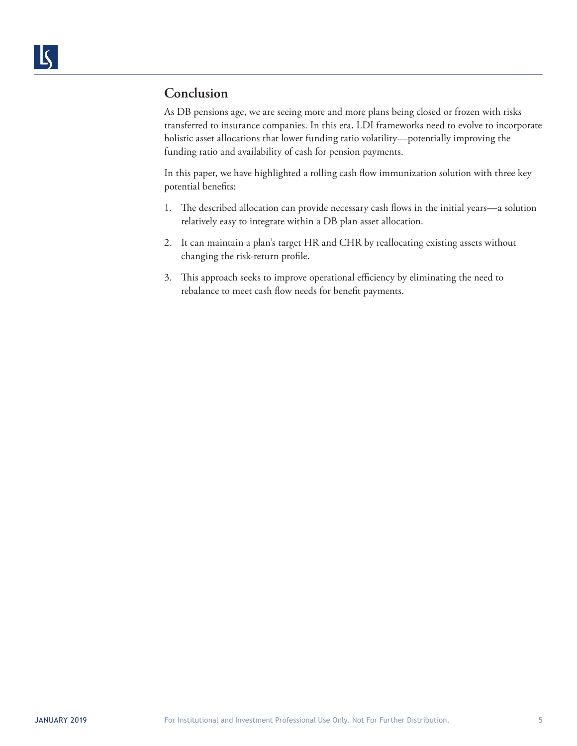### **Conclusion**

As DB pensions age, we are seeing more and more plans being closed or frozen with risks transferred to insurance companies. In this era, LDI frameworks need to evolve to incorporate holistic asset allocations that lower funding ratio volatility—potentially improving the funding ratio and availability of cash for pension payments.

In this paper, we have highlighted a rolling cash flow immunization solution with three key potential benefits:

- 1. The described allocation can provide necessary cash flows in the initial years—a solution relatively easy to integrate within a DB plan asset allocation.
- 2. It can maintain a plan's target HR and CHR by reallocating existing assets without changing the risk-return profile.
- 3. This approach seeks to improve operational efficiency by eliminating the need to rebalance to meet cash flow needs for benefit payments.